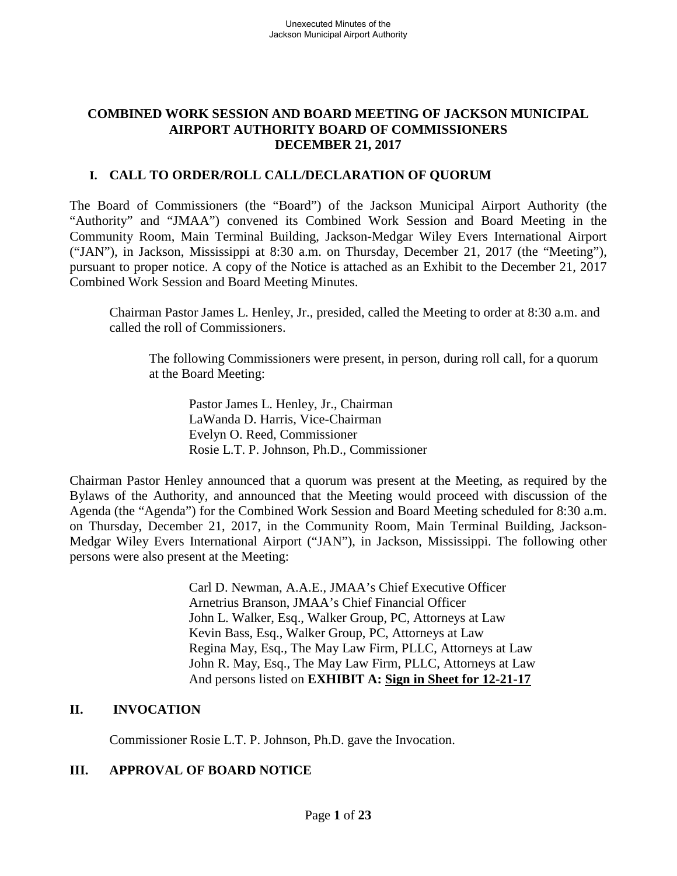### **COMBINED WORK SESSION AND BOARD MEETING OF JACKSON MUNICIPAL AIRPORT AUTHORITY BOARD OF COMMISSIONERS DECEMBER 21, 2017**

# **I. CALL TO ORDER/ROLL CALL/DECLARATION OF QUORUM**

The Board of Commissioners (the "Board") of the Jackson Municipal Airport Authority (the "Authority" and "JMAA") convened its Combined Work Session and Board Meeting in the Community Room, Main Terminal Building, Jackson-Medgar Wiley Evers International Airport ("JAN"), in Jackson, Mississippi at 8:30 a.m. on Thursday, December 21, 2017 (the "Meeting"), pursuant to proper notice. A copy of the Notice is attached as an Exhibit to the December 21, 2017 Combined Work Session and Board Meeting Minutes.

Chairman Pastor James L. Henley, Jr., presided, called the Meeting to order at 8:30 a.m. and called the roll of Commissioners.

The following Commissioners were present, in person, during roll call, for a quorum at the Board Meeting:

Pastor James L. Henley, Jr., Chairman LaWanda D. Harris, Vice-Chairman Evelyn O. Reed, Commissioner Rosie L.T. P. Johnson, Ph.D., Commissioner

Chairman Pastor Henley announced that a quorum was present at the Meeting, as required by the Bylaws of the Authority, and announced that the Meeting would proceed with discussion of the Agenda (the "Agenda") for the Combined Work Session and Board Meeting scheduled for 8:30 a.m. on Thursday, December 21, 2017, in the Community Room, Main Terminal Building, Jackson-Medgar Wiley Evers International Airport ("JAN"), in Jackson, Mississippi. The following other persons were also present at the Meeting:

> Carl D. Newman, A.A.E., JMAA's Chief Executive Officer Arnetrius Branson, JMAA's Chief Financial Officer John L. Walker, Esq., Walker Group, PC, Attorneys at Law Kevin Bass, Esq., Walker Group, PC, Attorneys at Law Regina May, Esq., The May Law Firm, PLLC, Attorneys at Law John R. May, Esq., The May Law Firm, PLLC, Attorneys at Law And persons listed on **EXHIBIT A: Sign in Sheet for 12-21-17**

# **II. INVOCATION**

Commissioner Rosie L.T. P. Johnson, Ph.D. gave the Invocation.

# **III. APPROVAL OF BOARD NOTICE**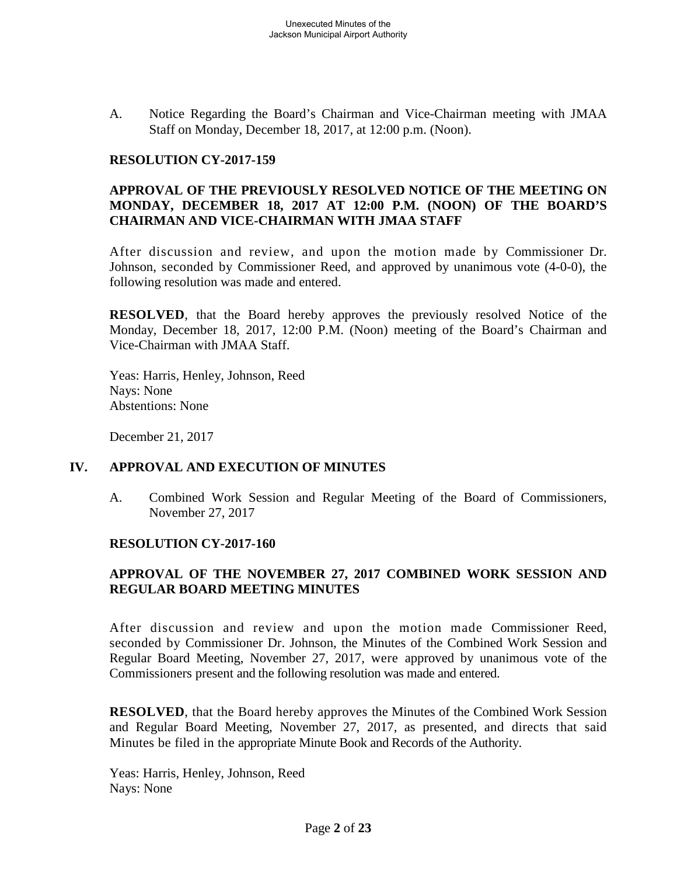A. Notice Regarding the Board's Chairman and Vice-Chairman meeting with JMAA Staff on Monday, December 18, 2017, at 12:00 p.m. (Noon).

#### **RESOLUTION CY-2017-159**

### **APPROVAL OF THE PREVIOUSLY RESOLVED NOTICE OF THE MEETING ON MONDAY, DECEMBER 18, 2017 AT 12:00 P.M. (NOON) OF THE BOARD'S CHAIRMAN AND VICE-CHAIRMAN WITH JMAA STAFF**

After discussion and review, and upon the motion made by Commissioner Dr. Johnson, seconded by Commissioner Reed, and approved by unanimous vote (4-0-0), the following resolution was made and entered.

**RESOLVED**, that the Board hereby approves the previously resolved Notice of the Monday, December 18, 2017, 12:00 P.M. (Noon) meeting of the Board's Chairman and Vice-Chairman with JMAA Staff.

Yeas: Harris, Henley, Johnson, Reed Nays: None Abstentions: None

December 21, 2017

#### **IV. APPROVAL AND EXECUTION OF MINUTES**

A. Combined Work Session and Regular Meeting of the Board of Commissioners, November 27, 2017

#### **RESOLUTION CY-2017-160**

### **APPROVAL OF THE NOVEMBER 27, 2017 COMBINED WORK SESSION AND REGULAR BOARD MEETING MINUTES**

After discussion and review and upon the motion made Commissioner Reed, seconded by Commissioner Dr. Johnson, the Minutes of the Combined Work Session and Regular Board Meeting, November 27, 2017, were approved by unanimous vote of the Commissioners present and the following resolution was made and entered.

**RESOLVED**, that the Board hereby approves the Minutes of the Combined Work Session and Regular Board Meeting, November 27, 2017, as presented, and directs that said Minutes be filed in the appropriate Minute Book and Records of the Authority.

Yeas: Harris, Henley, Johnson, Reed Nays: None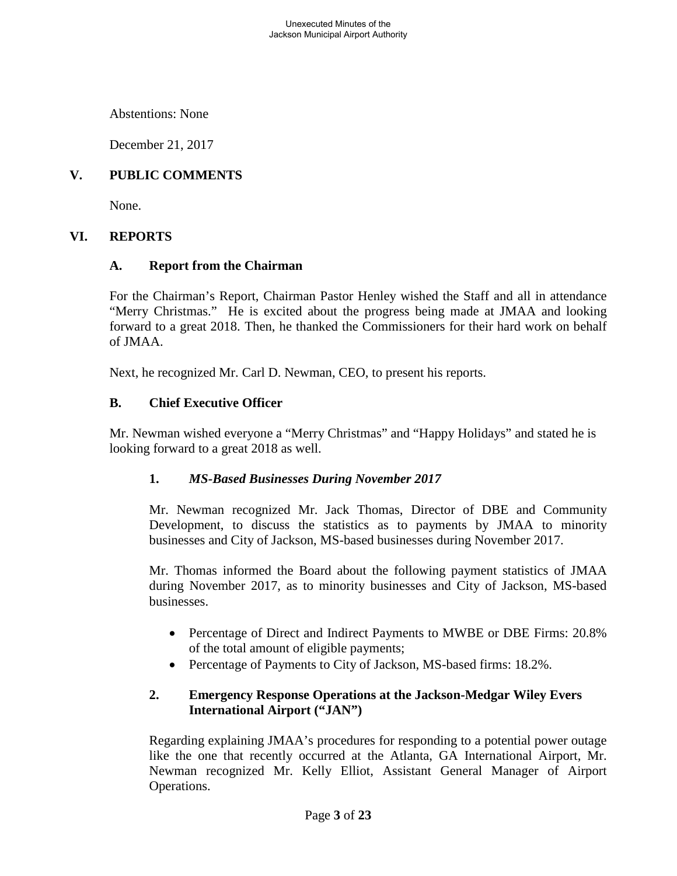Unexecuted Minutes of the Jackson Municipal Airport Authority

Abstentions: None

December 21, 2017

# **V. PUBLIC COMMENTS**

None.

#### **VI. REPORTS**

#### **A. Report from the Chairman**

For the Chairman's Report, Chairman Pastor Henley wished the Staff and all in attendance "Merry Christmas." He is excited about the progress being made at JMAA and looking forward to a great 2018. Then, he thanked the Commissioners for their hard work on behalf of JMAA.

Next, he recognized Mr. Carl D. Newman, CEO, to present his reports.

### **B. Chief Executive Officer**

Mr. Newman wished everyone a "Merry Christmas" and "Happy Holidays" and stated he is looking forward to a great 2018 as well.

#### **1.** *MS-Based Businesses During November 2017*

Mr. Newman recognized Mr. Jack Thomas, Director of DBE and Community Development, to discuss the statistics as to payments by JMAA to minority businesses and City of Jackson, MS-based businesses during November 2017.

Mr. Thomas informed the Board about the following payment statistics of JMAA during November 2017, as to minority businesses and City of Jackson, MS-based businesses.

- Percentage of Direct and Indirect Payments to MWBE or DBE Firms: 20.8% of the total amount of eligible payments;
- Percentage of Payments to City of Jackson, MS-based firms: 18.2%.

### **2. Emergency Response Operations at the Jackson-Medgar Wiley Evers International Airport ("JAN")**

Regarding explaining JMAA's procedures for responding to a potential power outage like the one that recently occurred at the Atlanta, GA International Airport, Mr. Newman recognized Mr. Kelly Elliot, Assistant General Manager of Airport Operations.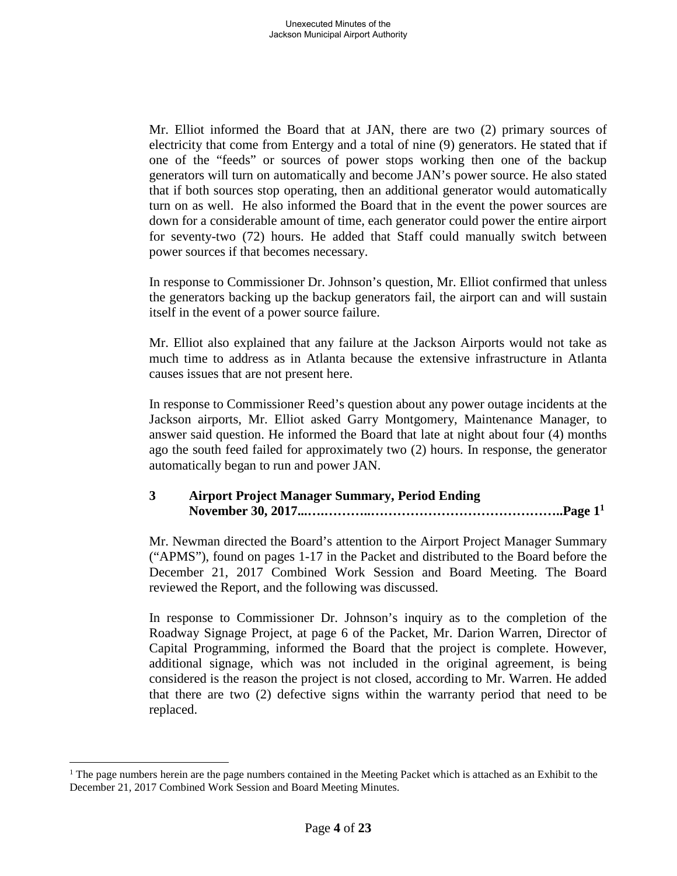Mr. Elliot informed the Board that at JAN, there are two (2) primary sources of electricity that come from Entergy and a total of nine (9) generators. He stated that if one of the "feeds" or sources of power stops working then one of the backup generators will turn on automatically and become JAN's power source. He also stated that if both sources stop operating, then an additional generator would automatically turn on as well. He also informed the Board that in the event the power sources are down for a considerable amount of time, each generator could power the entire airport for seventy-two (72) hours. He added that Staff could manually switch between power sources if that becomes necessary.

In response to Commissioner Dr. Johnson's question, Mr. Elliot confirmed that unless the generators backing up the backup generators fail, the airport can and will sustain itself in the event of a power source failure.

Mr. Elliot also explained that any failure at the Jackson Airports would not take as much time to address as in Atlanta because the extensive infrastructure in Atlanta causes issues that are not present here.

In response to Commissioner Reed's question about any power outage incidents at the Jackson airports, Mr. Elliot asked Garry Montgomery, Maintenance Manager, to answer said question. He informed the Board that late at night about four (4) months ago the south feed failed for approximately two (2) hours. In response, the generator automatically began to run and power JAN.

# **3 Airport Project Manager Summary, Period Ending November 30, 2017...….………..……………………………………..Page 1[1](#page-3-0)**

Mr. Newman directed the Board's attention to the Airport Project Manager Summary ("APMS"), found on pages 1-17 in the Packet and distributed to the Board before the December 21, 2017 Combined Work Session and Board Meeting. The Board reviewed the Report, and the following was discussed.

In response to Commissioner Dr. Johnson's inquiry as to the completion of the Roadway Signage Project, at page 6 of the Packet, Mr. Darion Warren, Director of Capital Programming, informed the Board that the project is complete. However, additional signage, which was not included in the original agreement, is being considered is the reason the project is not closed, according to Mr. Warren. He added that there are two (2) defective signs within the warranty period that need to be replaced.

<span id="page-3-0"></span><sup>&</sup>lt;sup>1</sup> The page numbers herein are the page numbers contained in the Meeting Packet which is attached as an Exhibit to the December 21, 2017 Combined Work Session and Board Meeting Minutes.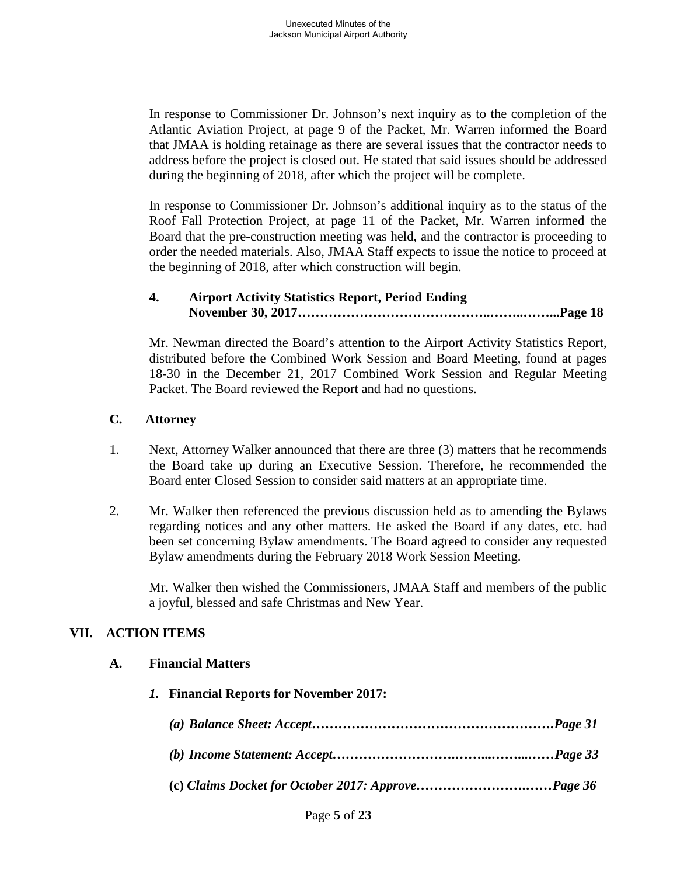In response to Commissioner Dr. Johnson's next inquiry as to the completion of the Atlantic Aviation Project, at page 9 of the Packet, Mr. Warren informed the Board that JMAA is holding retainage as there are several issues that the contractor needs to address before the project is closed out. He stated that said issues should be addressed during the beginning of 2018, after which the project will be complete.

In response to Commissioner Dr. Johnson's additional inquiry as to the status of the Roof Fall Protection Project, at page 11 of the Packet, Mr. Warren informed the Board that the pre-construction meeting was held, and the contractor is proceeding to order the needed materials. Also, JMAA Staff expects to issue the notice to proceed at the beginning of 2018, after which construction will begin.

# **4. Airport Activity Statistics Report, Period Ending November 30, 2017……………………………………..……..……...Page 18**

Mr. Newman directed the Board's attention to the Airport Activity Statistics Report, distributed before the Combined Work Session and Board Meeting, found at pages 18-30 in the December 21, 2017 Combined Work Session and Regular Meeting Packet. The Board reviewed the Report and had no questions.

### **C. Attorney**

- 1. Next, Attorney Walker announced that there are three (3) matters that he recommends the Board take up during an Executive Session. Therefore, he recommended the Board enter Closed Session to consider said matters at an appropriate time.
- 2. Mr. Walker then referenced the previous discussion held as to amending the Bylaws regarding notices and any other matters. He asked the Board if any dates, etc. had been set concerning Bylaw amendments. The Board agreed to consider any requested Bylaw amendments during the February 2018 Work Session Meeting.

Mr. Walker then wished the Commissioners, JMAA Staff and members of the public a joyful, blessed and safe Christmas and New Year.

# **VII. ACTION ITEMS**

### **A. Financial Matters**

*1.* **Financial Reports for November 2017:** *(a) Balance Sheet: Accept……………………………………………….Page 31 (b) Income Statement: Accept……………………….……...……...……Page 33* **(c)** *Claims Docket for October 2017: Approve…………………….……Page 36*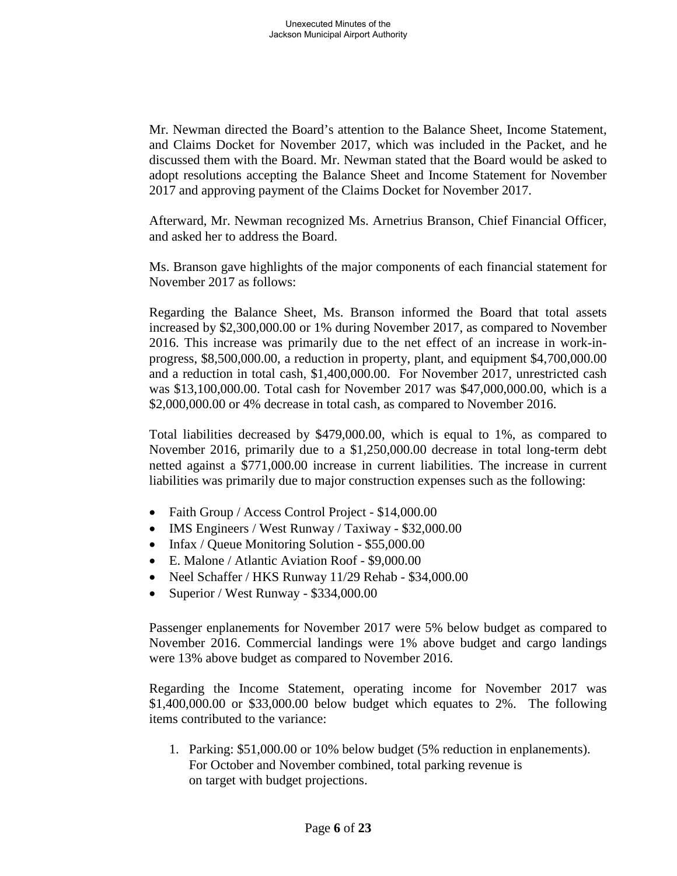Mr. Newman directed the Board's attention to the Balance Sheet, Income Statement, and Claims Docket for November 2017, which was included in the Packet, and he discussed them with the Board. Mr. Newman stated that the Board would be asked to adopt resolutions accepting the Balance Sheet and Income Statement for November 2017 and approving payment of the Claims Docket for November 2017.

Afterward, Mr. Newman recognized Ms. Arnetrius Branson, Chief Financial Officer, and asked her to address the Board.

Ms. Branson gave highlights of the major components of each financial statement for November 2017 as follows:

Regarding the Balance Sheet, Ms. Branson informed the Board that total assets increased by \$2,300,000.00 or 1% during November 2017, as compared to November 2016. This increase was primarily due to the net effect of an increase in work-inprogress, \$8,500,000.00, a reduction in property, plant, and equipment \$4,700,000.00 and a reduction in total cash, \$1,400,000.00. For November 2017, unrestricted cash was \$13,100,000.00. Total cash for November 2017 was \$47,000,000.00, which is a \$2,000,000.00 or 4% decrease in total cash, as compared to November 2016.

Total liabilities decreased by \$479,000.00, which is equal to 1%, as compared to November 2016, primarily due to a \$1,250,000.00 decrease in total long-term debt netted against a \$771,000.00 increase in current liabilities. The increase in current liabilities was primarily due to major construction expenses such as the following:

- Faith Group / Access Control Project \$14,000.00
- IMS Engineers / West Runway / Taxiway \$32,000.00
- Infax / Queue Monitoring Solution \$55,000.00
- E. Malone / Atlantic Aviation Roof \$9,000.00
- Neel Schaffer / HKS Runway 11/29 Rehab \$34,000.00
- Superior / West Runway \$334,000.00

Passenger enplanements for November 2017 were 5% below budget as compared to November 2016. Commercial landings were 1% above budget and cargo landings were 13% above budget as compared to November 2016.

Regarding the Income Statement, operating income for November 2017 was \$1,400,000.00 or \$33,000.00 below budget which equates to 2%. The following items contributed to the variance:

1. Parking: \$51,000.00 or 10% below budget (5% reduction in enplanements). For October and November combined, total parking revenue is on target with budget projections.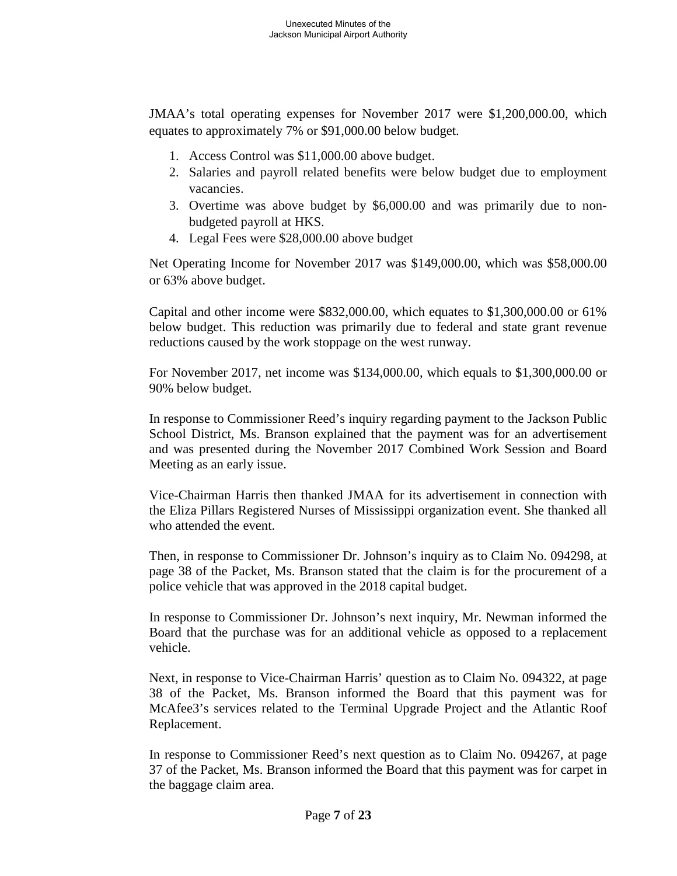JMAA's total operating expenses for November 2017 were \$1,200,000.00, which equates to approximately 7% or \$91,000.00 below budget.

- 1. Access Control was \$11,000.00 above budget.
- 2. Salaries and payroll related benefits were below budget due to employment vacancies.
- 3. Overtime was above budget by \$6,000.00 and was primarily due to nonbudgeted payroll at HKS.
- 4. Legal Fees were \$28,000.00 above budget

Net Operating Income for November 2017 was \$149,000.00, which was \$58,000.00 or 63% above budget.

Capital and other income were \$832,000.00, which equates to \$1,300,000.00 or 61% below budget. This reduction was primarily due to federal and state grant revenue reductions caused by the work stoppage on the west runway.

For November 2017, net income was \$134,000.00, which equals to \$1,300,000.00 or 90% below budget.

In response to Commissioner Reed's inquiry regarding payment to the Jackson Public School District, Ms. Branson explained that the payment was for an advertisement and was presented during the November 2017 Combined Work Session and Board Meeting as an early issue.

Vice-Chairman Harris then thanked JMAA for its advertisement in connection with the Eliza Pillars Registered Nurses of Mississippi organization event. She thanked all who attended the event.

Then, in response to Commissioner Dr. Johnson's inquiry as to Claim No. 094298, at page 38 of the Packet, Ms. Branson stated that the claim is for the procurement of a police vehicle that was approved in the 2018 capital budget.

In response to Commissioner Dr. Johnson's next inquiry, Mr. Newman informed the Board that the purchase was for an additional vehicle as opposed to a replacement vehicle.

Next, in response to Vice-Chairman Harris' question as to Claim No. 094322, at page 38 of the Packet, Ms. Branson informed the Board that this payment was for McAfee3's services related to the Terminal Upgrade Project and the Atlantic Roof Replacement.

In response to Commissioner Reed's next question as to Claim No. 094267, at page 37 of the Packet, Ms. Branson informed the Board that this payment was for carpet in the baggage claim area.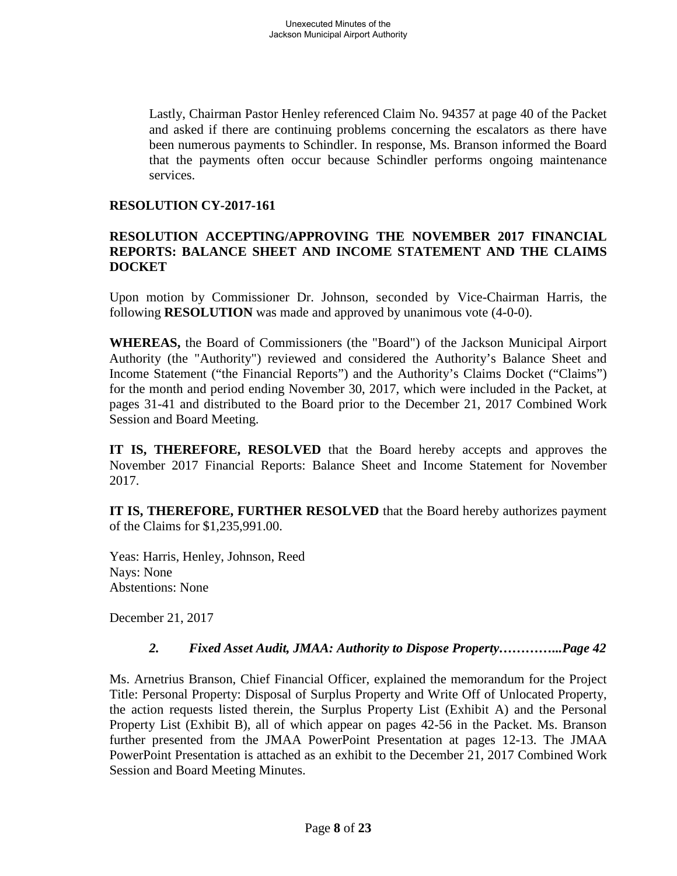Lastly, Chairman Pastor Henley referenced Claim No. 94357 at page 40 of the Packet and asked if there are continuing problems concerning the escalators as there have been numerous payments to Schindler. In response, Ms. Branson informed the Board that the payments often occur because Schindler performs ongoing maintenance services.

#### **RESOLUTION CY-2017-161**

#### **RESOLUTION ACCEPTING/APPROVING THE NOVEMBER 2017 FINANCIAL REPORTS: BALANCE SHEET AND INCOME STATEMENT AND THE CLAIMS DOCKET**

Upon motion by Commissioner Dr. Johnson, seconded by Vice-Chairman Harris, the following **RESOLUTION** was made and approved by unanimous vote (4-0-0).

**WHEREAS,** the Board of Commissioners (the "Board") of the Jackson Municipal Airport Authority (the "Authority") reviewed and considered the Authority's Balance Sheet and Income Statement ("the Financial Reports") and the Authority's Claims Docket ("Claims") for the month and period ending November 30, 2017, which were included in the Packet, at pages 31-41 and distributed to the Board prior to the December 21, 2017 Combined Work Session and Board Meeting.

**IT IS, THEREFORE, RESOLVED** that the Board hereby accepts and approves the November 2017 Financial Reports: Balance Sheet and Income Statement for November 2017.

**IT IS, THEREFORE, FURTHER RESOLVED** that the Board hereby authorizes payment of the Claims for \$1,235,991.00.

Yeas: Harris, Henley, Johnson, Reed Nays: None Abstentions: None

December 21, 2017

### *2. Fixed Asset Audit, JMAA: Authority to Dispose Property…………...Page 42*

Ms. Arnetrius Branson, Chief Financial Officer, explained the memorandum for the Project Title: Personal Property: Disposal of Surplus Property and Write Off of Unlocated Property, the action requests listed therein, the Surplus Property List (Exhibit A) and the Personal Property List (Exhibit B), all of which appear on pages 42-56 in the Packet. Ms. Branson further presented from the JMAA PowerPoint Presentation at pages 12-13. The JMAA PowerPoint Presentation is attached as an exhibit to the December 21, 2017 Combined Work Session and Board Meeting Minutes.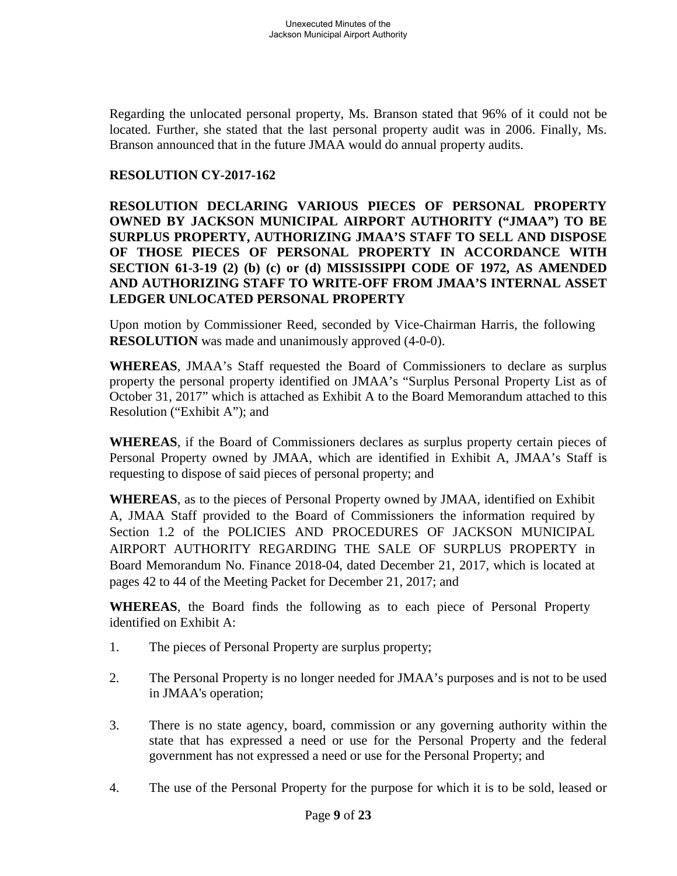Regarding the unlocated personal property, Ms. Branson stated that 96% of it could not be located. Further, she stated that the last personal property audit was in 2006. Finally, Ms. Branson announced that in the future JMAA would do annual property audits.

# **RESOLUTION CY-2017-162**

**RESOLUTION DECLARING VARIOUS PIECES OF PERSONAL PROPERTY OWNED BY JACKSON MUNICIPAL AIRPORT AUTHORITY ("JMAA") TO BE SURPLUS PROPERTY, AUTHORIZING JMAA'S STAFF TO SELL AND DISPOSE OF THOSE PIECES OF PERSONAL PROPERTY IN ACCORDANCE WITH SECTION 61-3-19 (2) (b) (c) or (d) MISSISSIPPI CODE OF 1972, AS AMENDED AND AUTHORIZING STAFF TO WRITE-OFF FROM JMAA'S INTERNAL ASSET LEDGER UNLOCATED PERSONAL PROPERTY**

Upon motion by Commissioner Reed, seconded by Vice-Chairman Harris, the following **RESOLUTION** was made and unanimously approved  $(4-0-0)$ .

**WHEREAS**, JMAA's Staff requested the Board of Commissioners to declare as surplus property the personal property identified on JMAA's "Surplus Personal Property List as of October 31, 2017" which is attached as Exhibit A to the Board Memorandum attached to this Resolution ("Exhibit A"); and

**WHEREAS**, if the Board of Commissioners declares as surplus property certain pieces of Personal Property owned by JMAA, which are identified in Exhibit A, JMAA's Staff is requesting to dispose of said pieces of personal property; and

**WHEREAS**, as to the pieces of Personal Property owned by JMAA, identified on Exhibit A, JMAA Staff provided to the Board of Commissioners the information required by Section 1.2 of the POLICIES AND PROCEDURES OF JACKSON MUNICIPAL AIRPORT AUTHORITY REGARDING THE SALE OF SURPLUS PROPERTY in Board Memorandum No. Finance 2018-04, dated December 21, 2017, which is located at pages 42 to 44 of the Meeting Packet for December 21, 2017; and

**WHEREAS**, the Board finds the following as to each piece of Personal Property identified on Exhibit A:

- 1. The pieces of Personal Property are surplus property;
- 2. The Personal Property is no longer needed for JMAA's purposes and is not to be used in JMAA's operation;
- 3. There is no state agency, board, commission or any governing authority within the state that has expressed a need or use for the Personal Property and the federal government has not expressed a need or use for the Personal Property; and
- 4. The use of the Personal Property for the purpose for which it is to be sold, leased or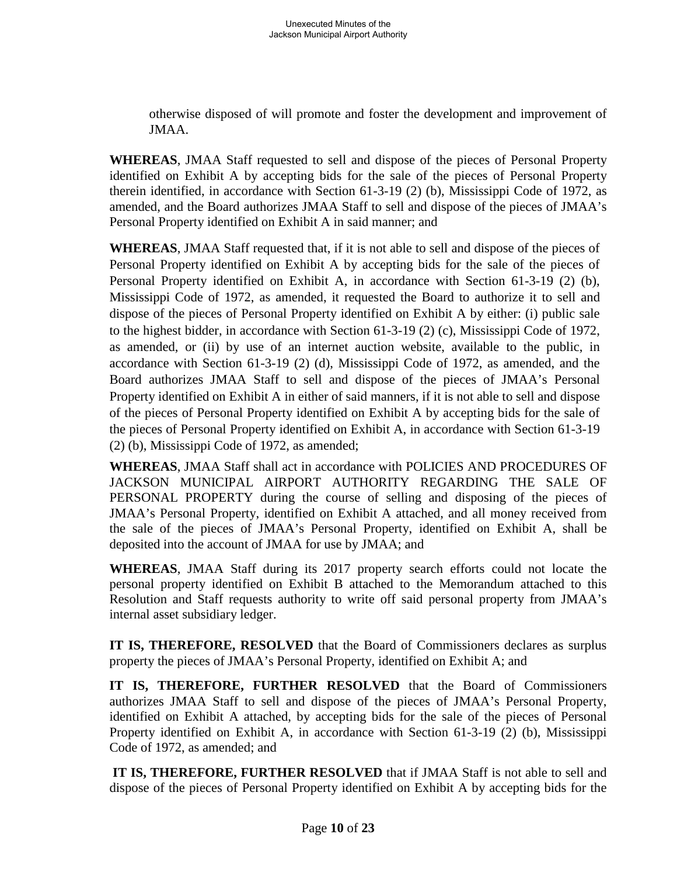otherwise disposed of will promote and foster the development and improvement of JMAA.

**WHEREAS**, JMAA Staff requested to sell and dispose of the pieces of Personal Property identified on Exhibit A by accepting bids for the sale of the pieces of Personal Property therein identified, in accordance with Section 61-3-19 (2) (b), Mississippi Code of 1972, as amended, and the Board authorizes JMAA Staff to sell and dispose of the pieces of JMAA's Personal Property identified on Exhibit A in said manner; and

**WHEREAS**, JMAA Staff requested that, if it is not able to sell and dispose of the pieces of Personal Property identified on Exhibit A by accepting bids for the sale of the pieces of Personal Property identified on Exhibit A, in accordance with Section 61-3-19 (2) (b), Mississippi Code of 1972, as amended, it requested the Board to authorize it to sell and dispose of the pieces of Personal Property identified on Exhibit A by either: (i) public sale to the highest bidder, in accordance with Section 61-3-19 (2) (c), Mississippi Code of 1972, as amended, or (ii) by use of an internet auction website, available to the public, in accordance with Section 61-3-19 (2) (d), Mississippi Code of 1972, as amended, and the Board authorizes JMAA Staff to sell and dispose of the pieces of JMAA's Personal Property identified on Exhibit A in either of said manners, if it is not able to sell and dispose of the pieces of Personal Property identified on Exhibit A by accepting bids for the sale of the pieces of Personal Property identified on Exhibit A, in accordance with Section 61-3-19 (2) (b), Mississippi Code of 1972, as amended;

**WHEREAS**, JMAA Staff shall act in accordance with POLICIES AND PROCEDURES OF JACKSON MUNICIPAL AIRPORT AUTHORITY REGARDING THE SALE OF PERSONAL PROPERTY during the course of selling and disposing of the pieces of JMAA's Personal Property, identified on Exhibit A attached, and all money received from the sale of the pieces of JMAA's Personal Property, identified on Exhibit A, shall be deposited into the account of JMAA for use by JMAA; and

**WHEREAS**, JMAA Staff during its 2017 property search efforts could not locate the personal property identified on Exhibit B attached to the Memorandum attached to this Resolution and Staff requests authority to write off said personal property from JMAA's internal asset subsidiary ledger.

**IT IS, THEREFORE, RESOLVED** that the Board of Commissioners declares as surplus property the pieces of JMAA's Personal Property, identified on Exhibit A; and

**IT IS, THEREFORE, FURTHER RESOLVED** that the Board of Commissioners authorizes JMAA Staff to sell and dispose of the pieces of JMAA's Personal Property, identified on Exhibit A attached, by accepting bids for the sale of the pieces of Personal Property identified on Exhibit A, in accordance with Section 61-3-19 (2) (b), Mississippi Code of 1972, as amended; and

**IT IS, THEREFORE, FURTHER RESOLVED** that if JMAA Staff is not able to sell and dispose of the pieces of Personal Property identified on Exhibit A by accepting bids for the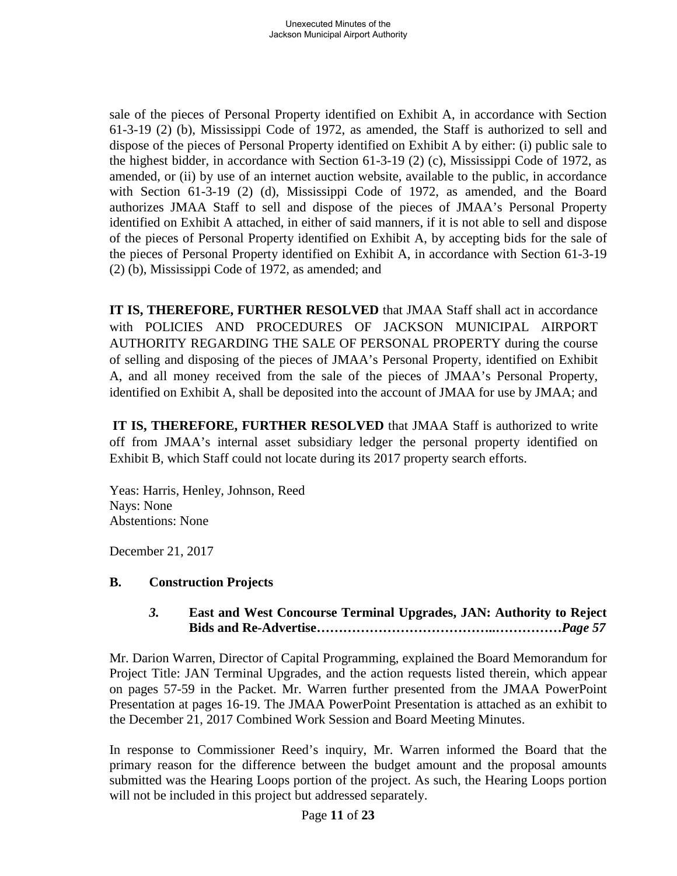sale of the pieces of Personal Property identified on Exhibit A, in accordance with Section 61-3-19 (2) (b), Mississippi Code of 1972, as amended, the Staff is authorized to sell and dispose of the pieces of Personal Property identified on Exhibit A by either: (i) public sale to the highest bidder, in accordance with Section 61-3-19 (2) (c), Mississippi Code of 1972, as amended, or (ii) by use of an internet auction website, available to the public, in accordance with Section 61-3-19 (2) (d), Mississippi Code of 1972, as amended, and the Board authorizes JMAA Staff to sell and dispose of the pieces of JMAA's Personal Property identified on Exhibit A attached, in either of said manners, if it is not able to sell and dispose of the pieces of Personal Property identified on Exhibit A, by accepting bids for the sale of the pieces of Personal Property identified on Exhibit A, in accordance with Section 61-3-19 (2) (b), Mississippi Code of 1972, as amended; and

**IT IS, THEREFORE, FURTHER RESOLVED** that JMAA Staff shall act in accordance with POLICIES AND PROCEDURES OF JACKSON MUNICIPAL AIRPORT AUTHORITY REGARDING THE SALE OF PERSONAL PROPERTY during the course of selling and disposing of the pieces of JMAA's Personal Property, identified on Exhibit A, and all money received from the sale of the pieces of JMAA's Personal Property, identified on Exhibit A, shall be deposited into the account of JMAA for use by JMAA; and

**IT IS, THEREFORE, FURTHER RESOLVED** that JMAA Staff is authorized to write off from JMAA's internal asset subsidiary ledger the personal property identified on Exhibit B, which Staff could not locate during its 2017 property search efforts.

Yeas: Harris, Henley, Johnson, Reed Nays: None Abstentions: None

December 21, 2017

### **B. Construction Projects**

### *3.* **East and West Concourse Terminal Upgrades, JAN: Authority to Reject Bids and Re-Advertise…………………………………..……………***Page 57*

Mr. Darion Warren, Director of Capital Programming, explained the Board Memorandum for Project Title: JAN Terminal Upgrades, and the action requests listed therein, which appear on pages 57-59 in the Packet. Mr. Warren further presented from the JMAA PowerPoint Presentation at pages 16-19. The JMAA PowerPoint Presentation is attached as an exhibit to the December 21, 2017 Combined Work Session and Board Meeting Minutes.

In response to Commissioner Reed's inquiry, Mr. Warren informed the Board that the primary reason for the difference between the budget amount and the proposal amounts submitted was the Hearing Loops portion of the project. As such, the Hearing Loops portion will not be included in this project but addressed separately.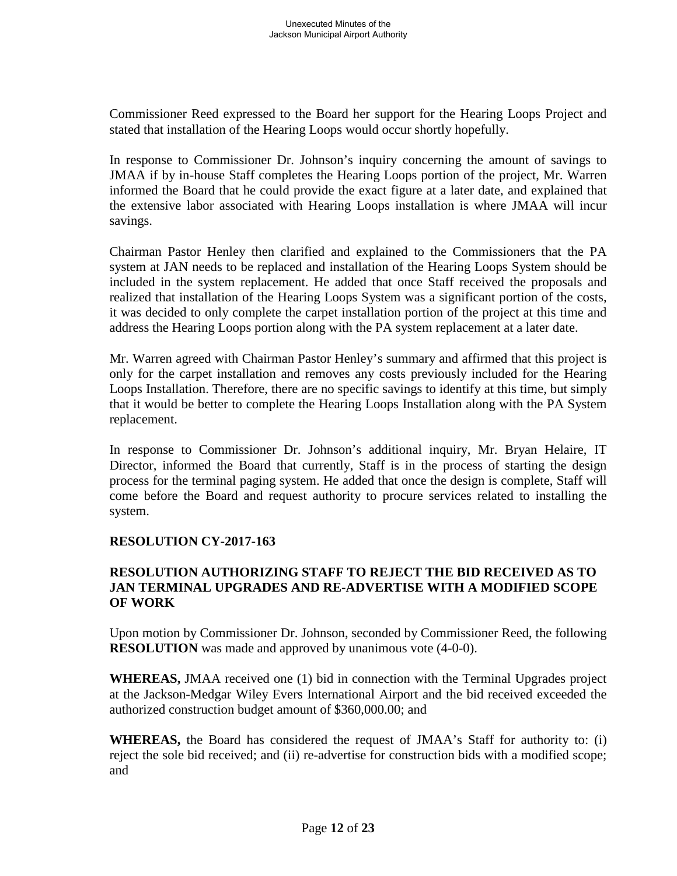Commissioner Reed expressed to the Board her support for the Hearing Loops Project and stated that installation of the Hearing Loops would occur shortly hopefully.

In response to Commissioner Dr. Johnson's inquiry concerning the amount of savings to JMAA if by in-house Staff completes the Hearing Loops portion of the project, Mr. Warren informed the Board that he could provide the exact figure at a later date, and explained that the extensive labor associated with Hearing Loops installation is where JMAA will incur savings.

Chairman Pastor Henley then clarified and explained to the Commissioners that the PA system at JAN needs to be replaced and installation of the Hearing Loops System should be included in the system replacement. He added that once Staff received the proposals and realized that installation of the Hearing Loops System was a significant portion of the costs, it was decided to only complete the carpet installation portion of the project at this time and address the Hearing Loops portion along with the PA system replacement at a later date.

Mr. Warren agreed with Chairman Pastor Henley's summary and affirmed that this project is only for the carpet installation and removes any costs previously included for the Hearing Loops Installation. Therefore, there are no specific savings to identify at this time, but simply that it would be better to complete the Hearing Loops Installation along with the PA System replacement.

In response to Commissioner Dr. Johnson's additional inquiry, Mr. Bryan Helaire, IT Director, informed the Board that currently, Staff is in the process of starting the design process for the terminal paging system. He added that once the design is complete, Staff will come before the Board and request authority to procure services related to installing the system.

### **RESOLUTION CY-2017-163**

#### **RESOLUTION AUTHORIZING STAFF TO REJECT THE BID RECEIVED AS TO JAN TERMINAL UPGRADES AND RE-ADVERTISE WITH A MODIFIED SCOPE OF WORK**

Upon motion by Commissioner Dr. Johnson, seconded by Commissioner Reed, the following **RESOLUTION** was made and approved by unanimous vote  $(4-0-0)$ .

**WHEREAS,** JMAA received one (1) bid in connection with the Terminal Upgrades project at the Jackson-Medgar Wiley Evers International Airport and the bid received exceeded the authorized construction budget amount of \$360,000.00; and

**WHEREAS,** the Board has considered the request of JMAA's Staff for authority to: (i) reject the sole bid received; and (ii) re-advertise for construction bids with a modified scope; and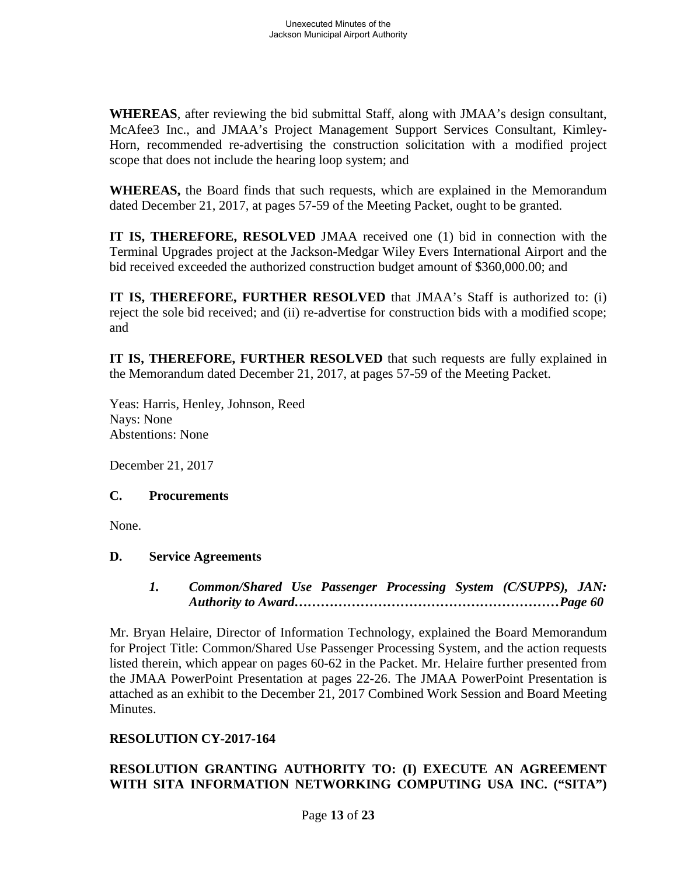**WHEREAS**, after reviewing the bid submittal Staff, along with JMAA's design consultant, McAfee3 Inc., and JMAA's Project Management Support Services Consultant, Kimley-Horn, recommended re-advertising the construction solicitation with a modified project scope that does not include the hearing loop system; and

**WHEREAS,** the Board finds that such requests, which are explained in the Memorandum dated December 21, 2017, at pages 57-59 of the Meeting Packet, ought to be granted.

**IT IS, THEREFORE, RESOLVED** JMAA received one (1) bid in connection with the Terminal Upgrades project at the Jackson-Medgar Wiley Evers International Airport and the bid received exceeded the authorized construction budget amount of \$360,000.00; and

**IT IS, THEREFORE, FURTHER RESOLVED** that JMAA's Staff is authorized to: (i) reject the sole bid received; and (ii) re-advertise for construction bids with a modified scope; and

**IT IS, THEREFORE, FURTHER RESOLVED** that such requests are fully explained in the Memorandum dated December 21, 2017, at pages 57-59 of the Meeting Packet.

Yeas: Harris, Henley, Johnson, Reed Nays: None Abstentions: None

December 21, 2017

### **C. Procurements**

None.

### **D. Service Agreements**

*1. Common/Shared Use Passenger Processing System (C/SUPPS), JAN: Authority to Award……………………………………………………Page 60*

Mr. Bryan Helaire, Director of Information Technology, explained the Board Memorandum for Project Title: Common/Shared Use Passenger Processing System, and the action requests listed therein, which appear on pages 60-62 in the Packet. Mr. Helaire further presented from the JMAA PowerPoint Presentation at pages 22-26. The JMAA PowerPoint Presentation is attached as an exhibit to the December 21, 2017 Combined Work Session and Board Meeting Minutes.

### **RESOLUTION CY-2017-164**

# **RESOLUTION GRANTING AUTHORITY TO: (I) EXECUTE AN AGREEMENT WITH SITA INFORMATION NETWORKING COMPUTING USA INC. ("SITA")**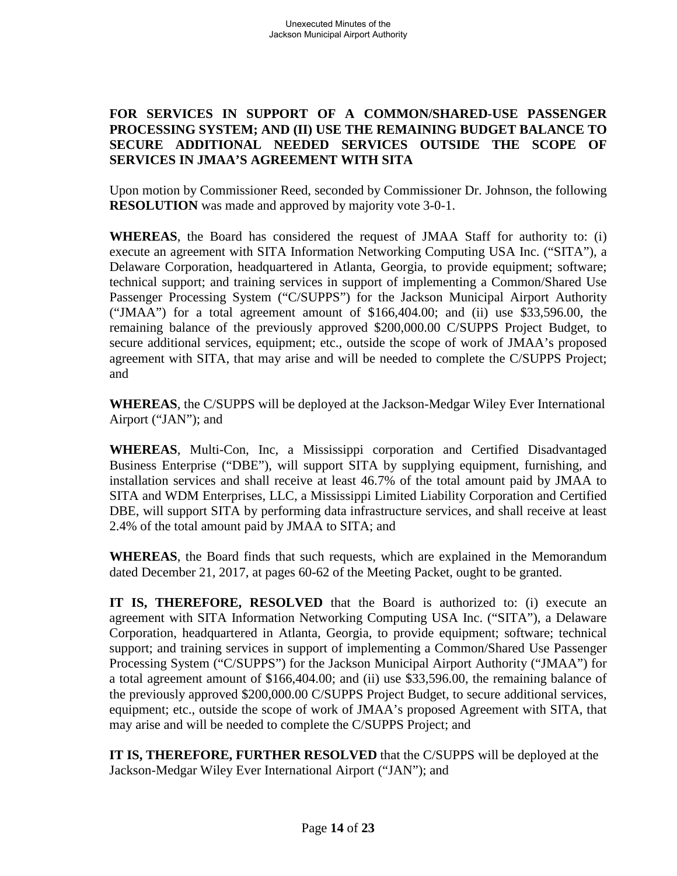### **FOR SERVICES IN SUPPORT OF A COMMON/SHARED-USE PASSENGER PROCESSING SYSTEM; AND (II) USE THE REMAINING BUDGET BALANCE TO SECURE ADDITIONAL NEEDED SERVICES OUTSIDE THE SCOPE OF SERVICES IN JMAA'S AGREEMENT WITH SITA**

Upon motion by Commissioner Reed, seconded by Commissioner Dr. Johnson, the following **RESOLUTION** was made and approved by majority vote 3-0-1.

**WHEREAS**, the Board has considered the request of JMAA Staff for authority to: (i) execute an agreement with SITA Information Networking Computing USA Inc. ("SITA"), a Delaware Corporation, headquartered in Atlanta, Georgia, to provide equipment; software; technical support; and training services in support of implementing a Common/Shared Use Passenger Processing System ("C/SUPPS") for the Jackson Municipal Airport Authority ("JMAA") for a total agreement amount of \$166,404.00; and (ii) use \$33,596.00, the remaining balance of the previously approved \$200,000.00 C/SUPPS Project Budget, to secure additional services, equipment; etc., outside the scope of work of JMAA's proposed agreement with SITA, that may arise and will be needed to complete the C/SUPPS Project; and

**WHEREAS**, the C/SUPPS will be deployed at the Jackson-Medgar Wiley Ever International Airport ("JAN"); and

**WHEREAS**, Multi-Con, Inc, a Mississippi corporation and Certified Disadvantaged Business Enterprise ("DBE"), will support SITA by supplying equipment, furnishing, and installation services and shall receive at least 46.7% of the total amount paid by JMAA to SITA and WDM Enterprises, LLC, a Mississippi Limited Liability Corporation and Certified DBE, will support SITA by performing data infrastructure services, and shall receive at least 2.4% of the total amount paid by JMAA to SITA; and

**WHEREAS**, the Board finds that such requests, which are explained in the Memorandum dated December 21, 2017, at pages 60-62 of the Meeting Packet, ought to be granted.

**IT IS, THEREFORE, RESOLVED** that the Board is authorized to: (i) execute an agreement with SITA Information Networking Computing USA Inc. ("SITA"), a Delaware Corporation, headquartered in Atlanta, Georgia, to provide equipment; software; technical support; and training services in support of implementing a Common/Shared Use Passenger Processing System ("C/SUPPS") for the Jackson Municipal Airport Authority ("JMAA") for a total agreement amount of \$166,404.00; and (ii) use \$33,596.00, the remaining balance of the previously approved \$200,000.00 C/SUPPS Project Budget, to secure additional services, equipment; etc., outside the scope of work of JMAA's proposed Agreement with SITA, that may arise and will be needed to complete the C/SUPPS Project; and

**IT IS, THEREFORE, FURTHER RESOLVED** that the C/SUPPS will be deployed at the Jackson-Medgar Wiley Ever International Airport ("JAN"); and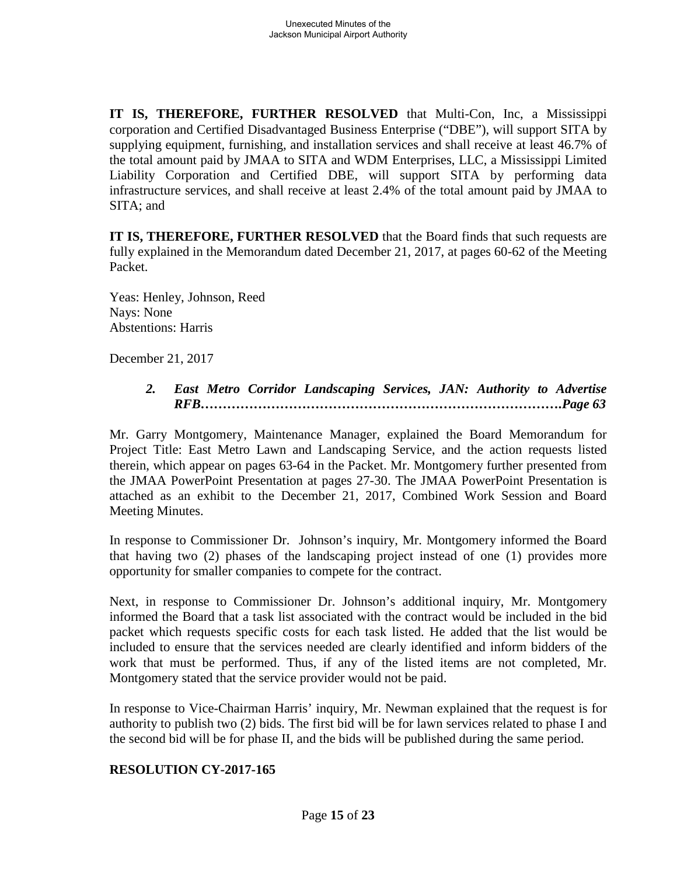**IT IS, THEREFORE, FURTHER RESOLVED** that Multi-Con, Inc, a Mississippi corporation and Certified Disadvantaged Business Enterprise ("DBE"), will support SITA by supplying equipment, furnishing, and installation services and shall receive at least 46.7% of the total amount paid by JMAA to SITA and WDM Enterprises, LLC, a Mississippi Limited Liability Corporation and Certified DBE, will support SITA by performing data infrastructure services, and shall receive at least 2.4% of the total amount paid by JMAA to SITA; and

**IT IS, THEREFORE, FURTHER RESOLVED** that the Board finds that such requests are fully explained in the Memorandum dated December 21, 2017, at pages 60-62 of the Meeting Packet.

Yeas: Henley, Johnson, Reed Nays: None Abstentions: Harris

December 21, 2017

*2. East Metro Corridor Landscaping Services, JAN: Authority to Advertise RFB……………………………………………………………………….Page 63*

Mr. Garry Montgomery, Maintenance Manager, explained the Board Memorandum for Project Title: East Metro Lawn and Landscaping Service, and the action requests listed therein, which appear on pages 63-64 in the Packet. Mr. Montgomery further presented from the JMAA PowerPoint Presentation at pages 27-30. The JMAA PowerPoint Presentation is attached as an exhibit to the December 21, 2017, Combined Work Session and Board Meeting Minutes.

In response to Commissioner Dr. Johnson's inquiry, Mr. Montgomery informed the Board that having two (2) phases of the landscaping project instead of one (1) provides more opportunity for smaller companies to compete for the contract.

Next, in response to Commissioner Dr. Johnson's additional inquiry, Mr. Montgomery informed the Board that a task list associated with the contract would be included in the bid packet which requests specific costs for each task listed. He added that the list would be included to ensure that the services needed are clearly identified and inform bidders of the work that must be performed. Thus, if any of the listed items are not completed, Mr. Montgomery stated that the service provider would not be paid.

In response to Vice-Chairman Harris' inquiry, Mr. Newman explained that the request is for authority to publish two (2) bids. The first bid will be for lawn services related to phase I and the second bid will be for phase II, and the bids will be published during the same period.

# **RESOLUTION CY-2017-165**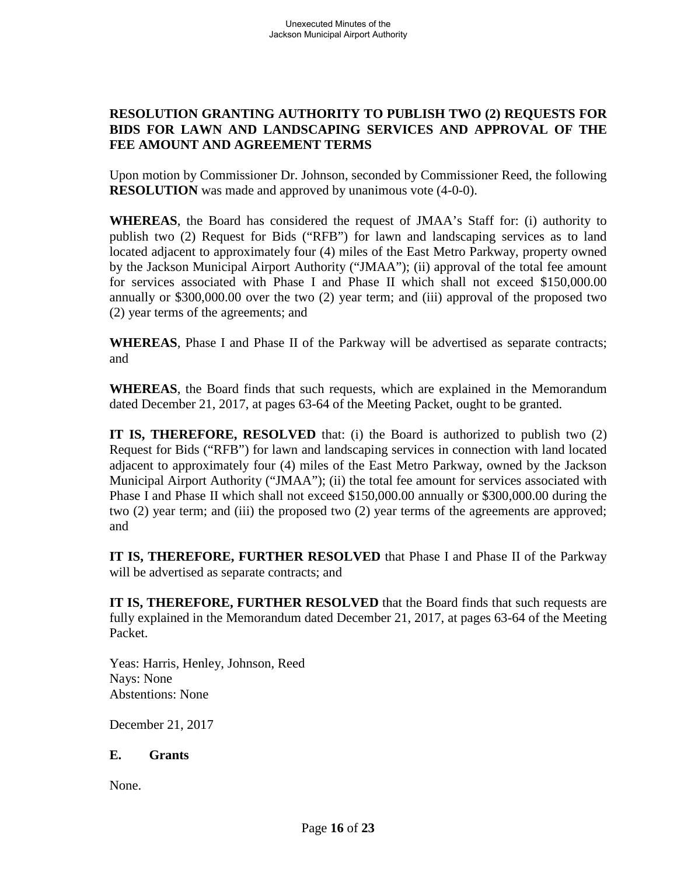# **RESOLUTION GRANTING AUTHORITY TO PUBLISH TWO (2) REQUESTS FOR BIDS FOR LAWN AND LANDSCAPING SERVICES AND APPROVAL OF THE FEE AMOUNT AND AGREEMENT TERMS**

Upon motion by Commissioner Dr. Johnson, seconded by Commissioner Reed, the following **RESOLUTION** was made and approved by unanimous vote  $(4-0-0)$ .

**WHEREAS**, the Board has considered the request of JMAA's Staff for: (i) authority to publish two (2) Request for Bids ("RFB") for lawn and landscaping services as to land located adjacent to approximately four (4) miles of the East Metro Parkway, property owned by the Jackson Municipal Airport Authority ("JMAA"); (ii) approval of the total fee amount for services associated with Phase I and Phase II which shall not exceed \$150,000.00 annually or \$300,000.00 over the two (2) year term; and (iii) approval of the proposed two (2) year terms of the agreements; and

**WHEREAS**, Phase I and Phase II of the Parkway will be advertised as separate contracts; and

**WHEREAS**, the Board finds that such requests, which are explained in the Memorandum dated December 21, 2017, at pages 63-64 of the Meeting Packet, ought to be granted.

**IT IS, THEREFORE, RESOLVED** that: (i) the Board is authorized to publish two (2) Request for Bids ("RFB") for lawn and landscaping services in connection with land located adjacent to approximately four (4) miles of the East Metro Parkway, owned by the Jackson Municipal Airport Authority ("JMAA"); (ii) the total fee amount for services associated with Phase I and Phase II which shall not exceed \$150,000.00 annually or \$300,000.00 during the two (2) year term; and (iii) the proposed two (2) year terms of the agreements are approved; and

**IT IS, THEREFORE, FURTHER RESOLVED** that Phase I and Phase II of the Parkway will be advertised as separate contracts; and

**IT IS, THEREFORE, FURTHER RESOLVED** that the Board finds that such requests are fully explained in the Memorandum dated December 21, 2017, at pages 63-64 of the Meeting Packet.

Yeas: Harris, Henley, Johnson, Reed Nays: None Abstentions: None

December 21, 2017

#### **E. Grants**

None.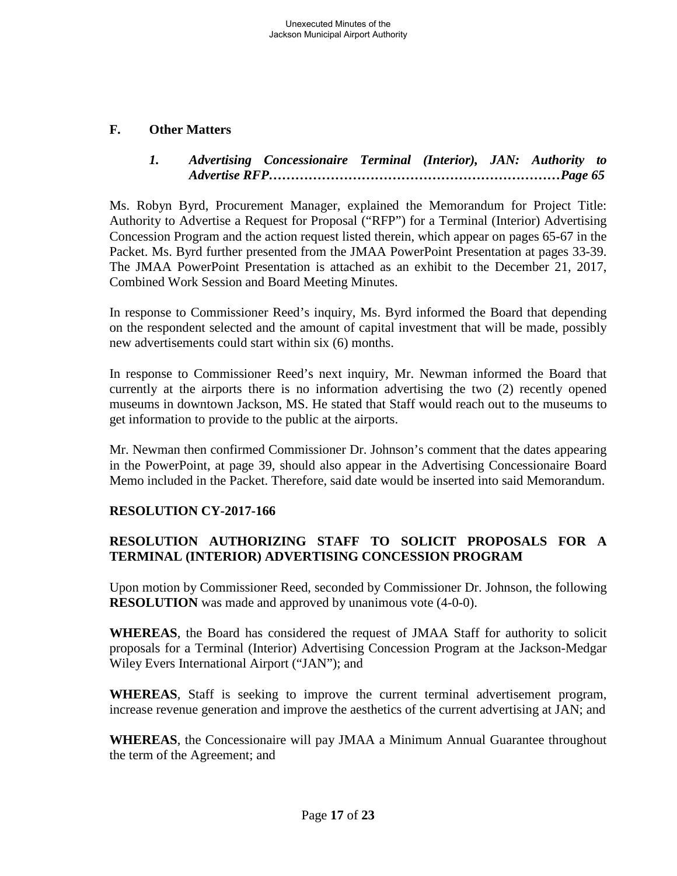### **F. Other Matters**

# *1. Advertising Concessionaire Terminal (Interior), JAN: Authority to Advertise RFP…………………………………………………………Page 65*

Ms. Robyn Byrd, Procurement Manager, explained the Memorandum for Project Title: Authority to Advertise a Request for Proposal ("RFP") for a Terminal (Interior) Advertising Concession Program and the action request listed therein, which appear on pages 65-67 in the Packet. Ms. Byrd further presented from the JMAA PowerPoint Presentation at pages 33-39. The JMAA PowerPoint Presentation is attached as an exhibit to the December 21, 2017, Combined Work Session and Board Meeting Minutes.

In response to Commissioner Reed's inquiry, Ms. Byrd informed the Board that depending on the respondent selected and the amount of capital investment that will be made, possibly new advertisements could start within six (6) months.

In response to Commissioner Reed's next inquiry, Mr. Newman informed the Board that currently at the airports there is no information advertising the two (2) recently opened museums in downtown Jackson, MS. He stated that Staff would reach out to the museums to get information to provide to the public at the airports.

Mr. Newman then confirmed Commissioner Dr. Johnson's comment that the dates appearing in the PowerPoint, at page 39, should also appear in the Advertising Concessionaire Board Memo included in the Packet. Therefore, said date would be inserted into said Memorandum.

### **RESOLUTION CY-2017-166**

# **RESOLUTION AUTHORIZING STAFF TO SOLICIT PROPOSALS FOR A TERMINAL (INTERIOR) ADVERTISING CONCESSION PROGRAM**

Upon motion by Commissioner Reed, seconded by Commissioner Dr. Johnson, the following **RESOLUTION** was made and approved by unanimous vote (4-0-0).

**WHEREAS**, the Board has considered the request of JMAA Staff for authority to solicit proposals for a Terminal (Interior) Advertising Concession Program at the Jackson-Medgar Wiley Evers International Airport ("JAN"); and

**WHEREAS**, Staff is seeking to improve the current terminal advertisement program, increase revenue generation and improve the aesthetics of the current advertising at JAN; and

**WHEREAS**, the Concessionaire will pay JMAA a Minimum Annual Guarantee throughout the term of the Agreement; and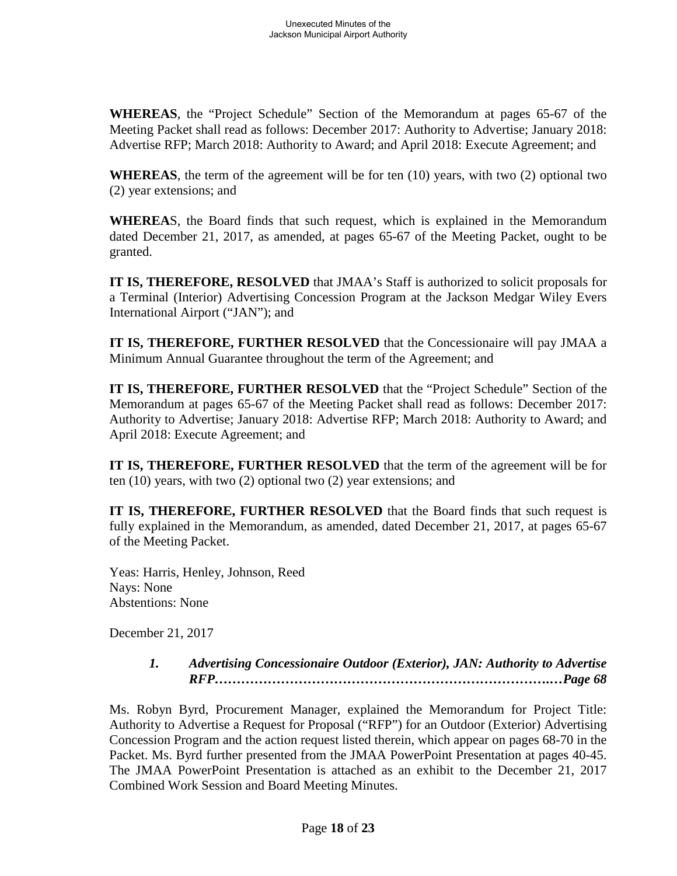**WHEREAS**, the "Project Schedule" Section of the Memorandum at pages 65-67 of the Meeting Packet shall read as follows: December 2017: Authority to Advertise; January 2018: Advertise RFP; March 2018: Authority to Award; and April 2018: Execute Agreement; and

**WHEREAS**, the term of the agreement will be for ten (10) years, with two (2) optional two (2) year extensions; and

**WHEREA**S, the Board finds that such request, which is explained in the Memorandum dated December 21, 2017, as amended, at pages 65-67 of the Meeting Packet, ought to be granted.

**IT IS, THEREFORE, RESOLVED** that JMAA's Staff is authorized to solicit proposals for a Terminal (Interior) Advertising Concession Program at the Jackson Medgar Wiley Evers International Airport ("JAN"); and

**IT IS, THEREFORE, FURTHER RESOLVED** that the Concessionaire will pay JMAA a Minimum Annual Guarantee throughout the term of the Agreement; and

**IT IS, THEREFORE, FURTHER RESOLVED** that the "Project Schedule" Section of the Memorandum at pages 65-67 of the Meeting Packet shall read as follows: December 2017: Authority to Advertise; January 2018: Advertise RFP; March 2018: Authority to Award; and April 2018: Execute Agreement; and

**IT IS, THEREFORE, FURTHER RESOLVED** that the term of the agreement will be for ten (10) years, with two (2) optional two (2) year extensions; and

**IT IS, THEREFORE, FURTHER RESOLVED** that the Board finds that such request is fully explained in the Memorandum, as amended, dated December 21, 2017, at pages 65-67 of the Meeting Packet.

Yeas: Harris, Henley, Johnson, Reed Nays: None Abstentions: None

December 21, 2017

*1. Advertising Concessionaire Outdoor (Exterior), JAN: Authority to Advertise RFP………………………………………………………………….…Page 68*

Ms. Robyn Byrd, Procurement Manager, explained the Memorandum for Project Title: Authority to Advertise a Request for Proposal ("RFP") for an Outdoor (Exterior) Advertising Concession Program and the action request listed therein, which appear on pages 68-70 in the Packet. Ms. Byrd further presented from the JMAA PowerPoint Presentation at pages 40-45. The JMAA PowerPoint Presentation is attached as an exhibit to the December 21, 2017 Combined Work Session and Board Meeting Minutes.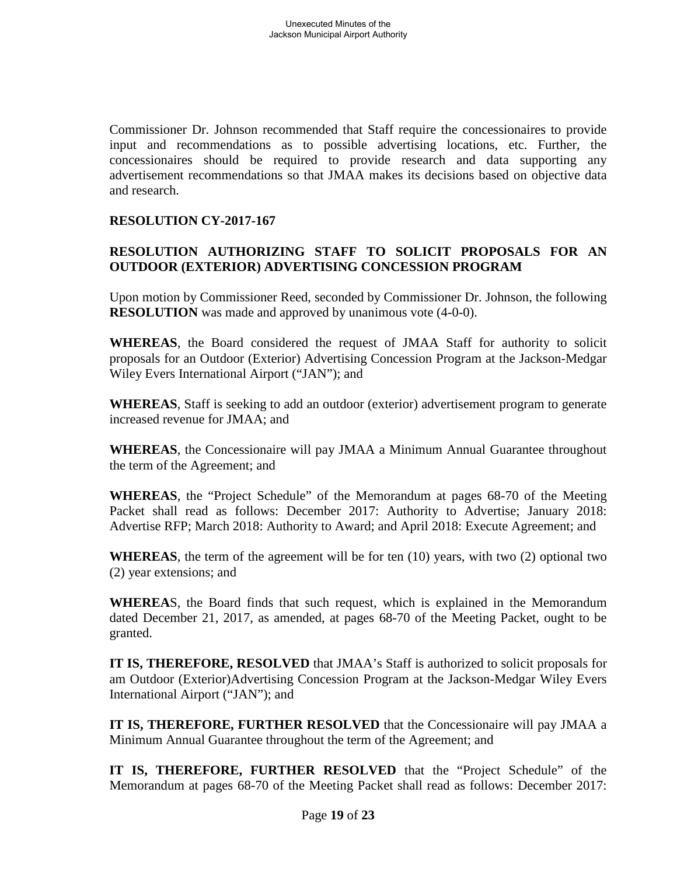Commissioner Dr. Johnson recommended that Staff require the concessionaires to provide input and recommendations as to possible advertising locations, etc. Further, the concessionaires should be required to provide research and data supporting any advertisement recommendations so that JMAA makes its decisions based on objective data and research.

# **RESOLUTION CY-2017-167**

# **RESOLUTION AUTHORIZING STAFF TO SOLICIT PROPOSALS FOR AN OUTDOOR (EXTERIOR) ADVERTISING CONCESSION PROGRAM**

Upon motion by Commissioner Reed, seconded by Commissioner Dr. Johnson, the following **RESOLUTION** was made and approved by unanimous vote (4-0-0).

**WHEREAS**, the Board considered the request of JMAA Staff for authority to solicit proposals for an Outdoor (Exterior) Advertising Concession Program at the Jackson-Medgar Wiley Evers International Airport ("JAN"); and

**WHEREAS**, Staff is seeking to add an outdoor (exterior) advertisement program to generate increased revenue for JMAA; and

**WHEREAS**, the Concessionaire will pay JMAA a Minimum Annual Guarantee throughout the term of the Agreement; and

**WHEREAS**, the "Project Schedule" of the Memorandum at pages 68-70 of the Meeting Packet shall read as follows: December 2017: Authority to Advertise; January 2018: Advertise RFP; March 2018: Authority to Award; and April 2018: Execute Agreement; and

**WHEREAS**, the term of the agreement will be for ten (10) years, with two (2) optional two (2) year extensions; and

**WHEREA**S, the Board finds that such request, which is explained in the Memorandum dated December 21, 2017, as amended, at pages 68-70 of the Meeting Packet, ought to be granted.

**IT IS, THEREFORE, RESOLVED** that JMAA's Staff is authorized to solicit proposals for am Outdoor (Exterior)Advertising Concession Program at the Jackson-Medgar Wiley Evers International Airport ("JAN"); and

**IT IS, THEREFORE, FURTHER RESOLVED** that the Concessionaire will pay JMAA a Minimum Annual Guarantee throughout the term of the Agreement; and

**IT IS, THEREFORE, FURTHER RESOLVED** that the "Project Schedule" of the Memorandum at pages 68-70 of the Meeting Packet shall read as follows: December 2017: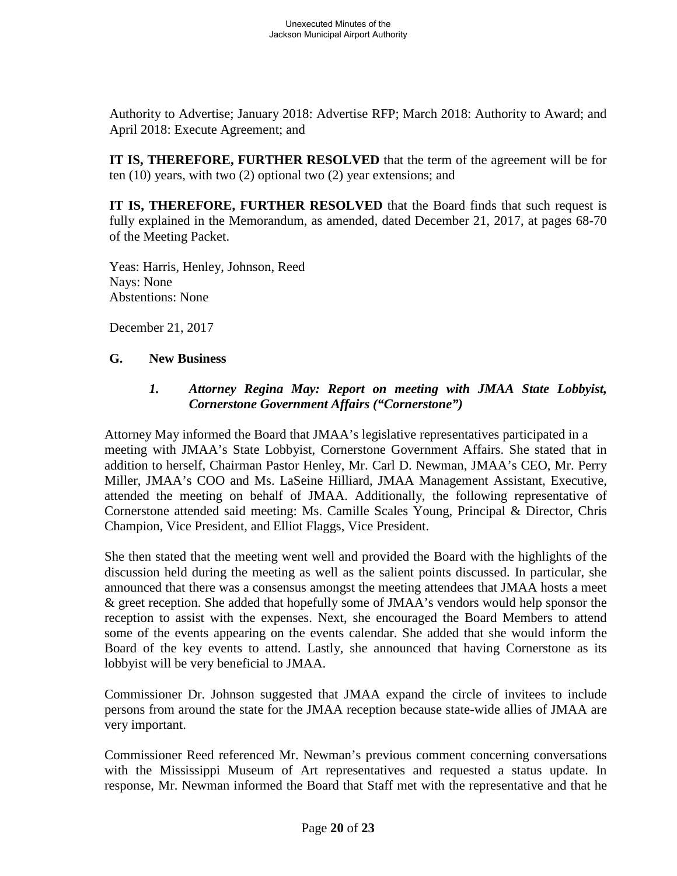Authority to Advertise; January 2018: Advertise RFP; March 2018: Authority to Award; and April 2018: Execute Agreement; and

**IT IS, THEREFORE, FURTHER RESOLVED** that the term of the agreement will be for ten (10) years, with two (2) optional two (2) year extensions; and

**IT IS, THEREFORE, FURTHER RESOLVED** that the Board finds that such request is fully explained in the Memorandum, as amended, dated December 21, 2017, at pages 68-70 of the Meeting Packet.

Yeas: Harris, Henley, Johnson, Reed Nays: None Abstentions: None

December 21, 2017

#### **G. New Business**

### *1. Attorney Regina May: Report on meeting with JMAA State Lobbyist, Cornerstone Government Affairs ("Cornerstone")*

Attorney May informed the Board that JMAA's legislative representatives participated in a meeting with JMAA's State Lobbyist, Cornerstone Government Affairs. She stated that in addition to herself, Chairman Pastor Henley, Mr. Carl D. Newman, JMAA's CEO, Mr. Perry Miller, JMAA's COO and Ms. LaSeine Hilliard, JMAA Management Assistant, Executive, attended the meeting on behalf of JMAA. Additionally, the following representative of Cornerstone attended said meeting: Ms. Camille Scales Young, Principal & Director, Chris Champion, Vice President, and Elliot Flaggs, Vice President.

She then stated that the meeting went well and provided the Board with the highlights of the discussion held during the meeting as well as the salient points discussed. In particular, she announced that there was a consensus amongst the meeting attendees that JMAA hosts a meet & greet reception. She added that hopefully some of JMAA's vendors would help sponsor the reception to assist with the expenses. Next, she encouraged the Board Members to attend some of the events appearing on the events calendar. She added that she would inform the Board of the key events to attend. Lastly, she announced that having Cornerstone as its lobbyist will be very beneficial to JMAA.

Commissioner Dr. Johnson suggested that JMAA expand the circle of invitees to include persons from around the state for the JMAA reception because state-wide allies of JMAA are very important.

Commissioner Reed referenced Mr. Newman's previous comment concerning conversations with the Mississippi Museum of Art representatives and requested a status update. In response, Mr. Newman informed the Board that Staff met with the representative and that he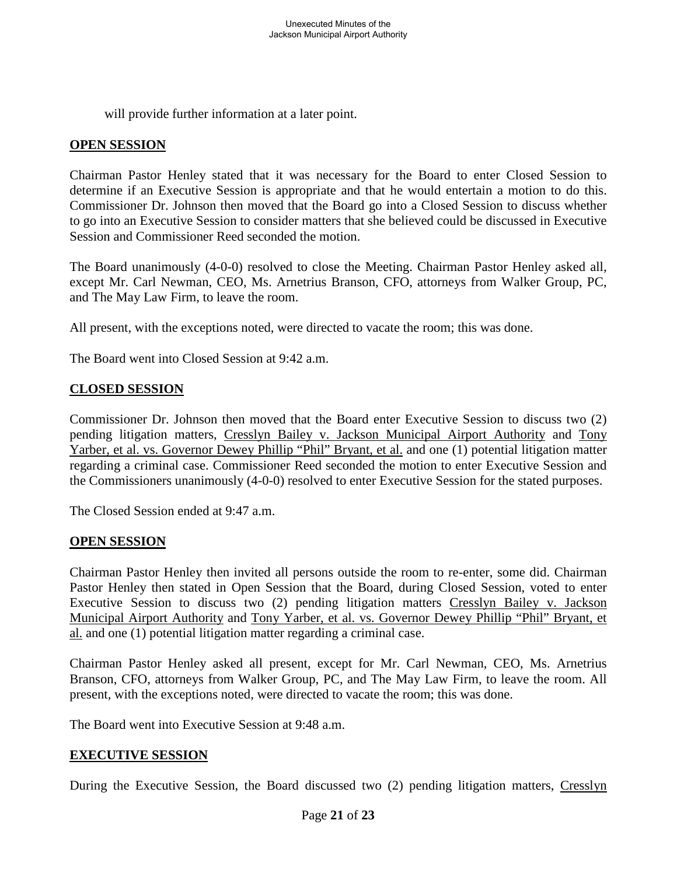will provide further information at a later point.

### **OPEN SESSION**

Chairman Pastor Henley stated that it was necessary for the Board to enter Closed Session to determine if an Executive Session is appropriate and that he would entertain a motion to do this. Commissioner Dr. Johnson then moved that the Board go into a Closed Session to discuss whether to go into an Executive Session to consider matters that she believed could be discussed in Executive Session and Commissioner Reed seconded the motion.

The Board unanimously (4-0-0) resolved to close the Meeting. Chairman Pastor Henley asked all, except Mr. Carl Newman, CEO, Ms. Arnetrius Branson, CFO, attorneys from Walker Group, PC, and The May Law Firm, to leave the room.

All present, with the exceptions noted, were directed to vacate the room; this was done.

The Board went into Closed Session at 9:42 a.m.

### **CLOSED SESSION**

Commissioner Dr. Johnson then moved that the Board enter Executive Session to discuss two (2) pending litigation matters, Cresslyn Bailey v. Jackson Municipal Airport Authority and Tony Yarber, et al. vs. Governor Dewey Phillip "Phil" Bryant, et al. and one (1) potential litigation matter regarding a criminal case. Commissioner Reed seconded the motion to enter Executive Session and the Commissioners unanimously (4-0-0) resolved to enter Executive Session for the stated purposes.

The Closed Session ended at 9:47 a.m.

### **OPEN SESSION**

Chairman Pastor Henley then invited all persons outside the room to re-enter, some did. Chairman Pastor Henley then stated in Open Session that the Board, during Closed Session, voted to enter Executive Session to discuss two (2) pending litigation matters Cresslyn Bailey v. Jackson Municipal Airport Authority and Tony Yarber, et al. vs. Governor Dewey Phillip "Phil" Bryant, et al. and one (1) potential litigation matter regarding a criminal case.

Chairman Pastor Henley asked all present, except for Mr. Carl Newman, CEO, Ms. Arnetrius Branson, CFO, attorneys from Walker Group, PC, and The May Law Firm, to leave the room. All present, with the exceptions noted, were directed to vacate the room; this was done.

The Board went into Executive Session at 9:48 a.m.

### **EXECUTIVE SESSION**

During the Executive Session, the Board discussed two (2) pending litigation matters, Cresslyn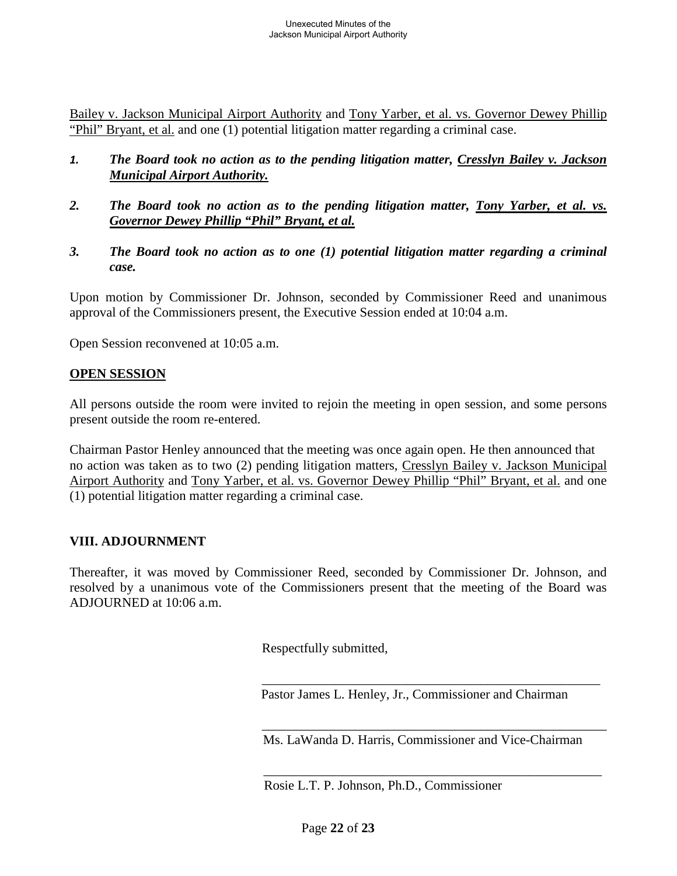Bailey v. Jackson Municipal Airport Authority and Tony Yarber, et al. vs. Governor Dewey Phillip "Phil" Bryant, et al. and one (1) potential litigation matter regarding a criminal case.

- *1. The Board took no action as to the pending litigation matter, Cresslyn Bailey v. Jackson Municipal Airport Authority.*
- *2. The Board took no action as to the pending litigation matter, Tony Yarber, et al. vs. Governor Dewey Phillip "Phil" Bryant, et al.*
- *3. The Board took no action as to one (1) potential litigation matter regarding a criminal case.*

Upon motion by Commissioner Dr. Johnson, seconded by Commissioner Reed and unanimous approval of the Commissioners present, the Executive Session ended at 10:04 a.m.

Open Session reconvened at 10:05 a.m.

#### **OPEN SESSION**

All persons outside the room were invited to rejoin the meeting in open session, and some persons present outside the room re-entered.

Chairman Pastor Henley announced that the meeting was once again open. He then announced that no action was taken as to two (2) pending litigation matters, Cresslyn Bailey v. Jackson Municipal Airport Authority and Tony Yarber, et al. vs. Governor Dewey Phillip "Phil" Bryant, et al. and one (1) potential litigation matter regarding a criminal case.

### **VIII. ADJOURNMENT**

Thereafter, it was moved by Commissioner Reed, seconded by Commissioner Dr. Johnson, and resolved by a unanimous vote of the Commissioners present that the meeting of the Board was ADJOURNED at 10:06 a.m.

Respectfully submitted,

Pastor James L. Henley, Jr., Commissioner and Chairman

\_\_\_\_\_\_\_\_\_\_\_\_\_\_\_\_\_\_\_\_\_\_\_\_\_\_\_\_\_\_\_\_\_\_\_\_\_\_\_\_\_\_\_\_\_\_\_\_\_\_\_

\_\_\_\_\_\_\_\_\_\_\_\_\_\_\_\_\_\_\_\_\_\_\_\_\_\_\_\_\_\_\_\_\_\_\_\_\_\_\_\_\_\_\_\_\_\_\_\_\_\_\_\_

\_\_\_\_\_\_\_\_\_\_\_\_\_\_\_\_\_\_\_\_\_\_\_\_\_\_\_\_\_\_\_\_\_\_\_\_\_\_\_\_\_\_\_\_\_\_\_\_\_\_\_

Ms. LaWanda D. Harris, Commissioner and Vice-Chairman

Rosie L.T. P. Johnson, Ph.D., Commissioner